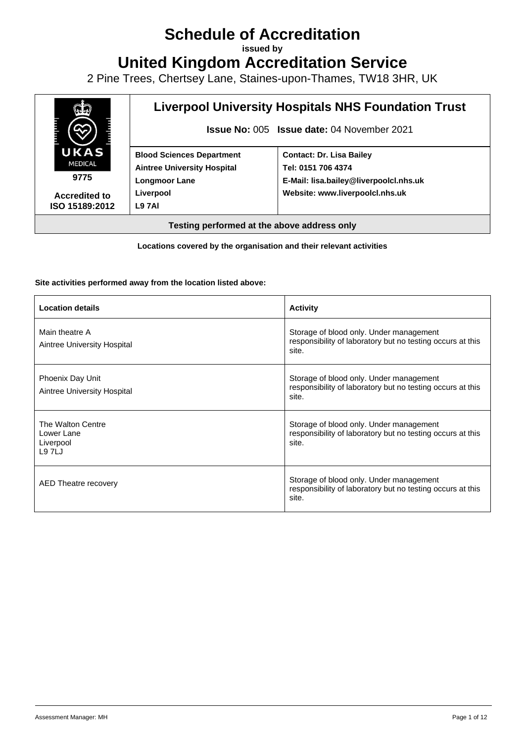# **Schedule of Accreditation**

**issued by**

**United Kingdom Accreditation Service**

2 Pine Trees, Chertsey Lane, Staines-upon-Thames, TW18 3HR, UK



**Locations covered by the organisation and their relevant activities**

#### **Site activities performed away from the location listed above:**

| <b>Location details</b>                                      | <b>Activity</b>                                                                                                |
|--------------------------------------------------------------|----------------------------------------------------------------------------------------------------------------|
| Main theatre A<br>Aintree University Hospital                | Storage of blood only. Under management<br>responsibility of laboratory but no testing occurs at this<br>site. |
| Phoenix Day Unit<br>Aintree University Hospital              | Storage of blood only. Under management<br>responsibility of laboratory but no testing occurs at this<br>site. |
| The Walton Centre<br>Lower Lane<br>Liverpool<br><b>L97LJ</b> | Storage of blood only. Under management<br>responsibility of laboratory but no testing occurs at this<br>site. |
| AED Theatre recovery                                         | Storage of blood only. Under management<br>responsibility of laboratory but no testing occurs at this<br>site. |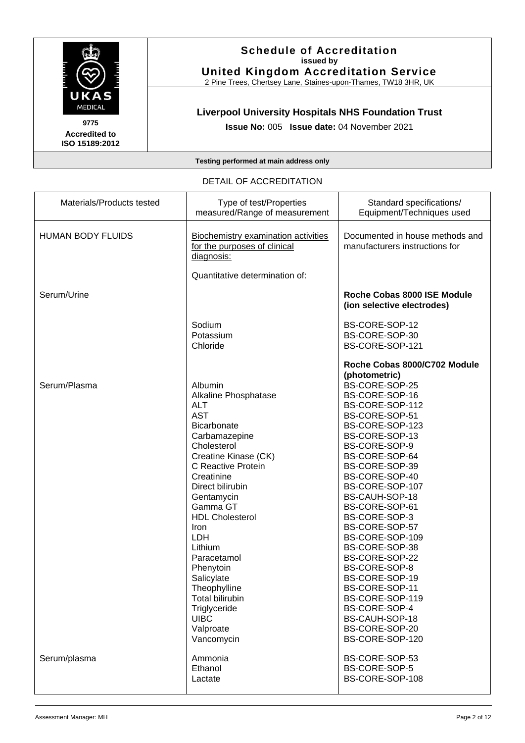

#### **Schedule of Accreditation issued by United Kingdom Accreditation Service**

2 Pine Trees, Chertsey Lane, Staines-upon-Thames, TW18 3HR, UK

#### **Liverpool University Hospitals NHS Foundation Trust**

**Issue No:** 005 **Issue date:** 04 November 2021

**Testing performed at main address only**

DETAIL OF ACCREDITATION Materials/Products tested Type of test/Properties measured/Range of measurement Standard specifications/ Equipment/Techniques used HUMAN BODY FLUIDS | Biochemistry examination activities for the purposes of clinical diagnosis: Documented in house methods and manufacturers instructions for Quantitative determination of: Serum/Urine Sodium Potassium Chloride **Roche Cobas 8000 ISE Module (ion selective electrodes)** BS-CORE-SOP-12 BS-CORE-SOP-30 BS-CORE-SOP-121 **Roche Cobas 8000/C702 Module (photometric)** Serum/Plasma Albumin Alkaline Phosphatase ALT AST **Bicarbonate Carbamazepine** Cholesterol Creatine Kinase (CK) C Reactive Protein **Creatinine** Direct bilirubin Gentamycin Gamma GT HDL Cholesterol Iron LDH Lithium Paracetamol Phenytoin **Salicylate Theophylline** Total bilirubin **Triglyceride UIBC** BS-CORE-SOP-25 BS-CORE-SOP-16 BS-CORE-SOP-112 BS-CORE-SOP-51 BS-CORE-SOP-123 BS-CORE-SOP-13 BS-CORE-SOP-9 BS-CORE-SOP-64 BS-CORE-SOP-39 BS-CORE-SOP-40 BS-CORE-SOP-107 BS-CAUH-SOP-18 BS-CORE-SOP-61 BS-CORE-SOP-3 BS-CORE-SOP-57 BS-CORE-SOP-109 BS-CORE-SOP-38 BS-CORE-SOP-22 BS-CORE-SOP-8 BS-CORE-SOP-19 BS-CORE-SOP-11 BS-CORE-SOP-119 BS-CORE-SOP-4 BS-CAUH-SOP-18

> Valproate Vancomycin

Ethanol Lactate

Serum/plasma Ammonia

BS-CORE-SOP-20 BS-CORE-SOP-120

BS-CORE-SOP-53 BS-CORE-SOP-5 BS-CORE-SOP-108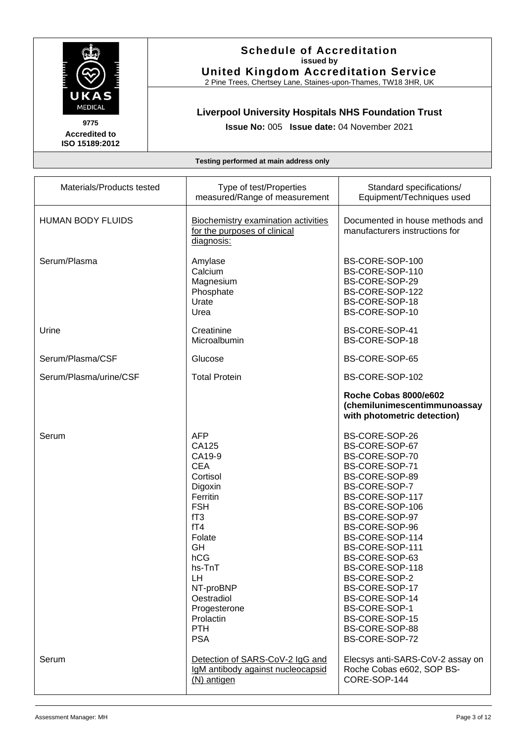

#### **Schedule of Accreditation issued by United Kingdom Accreditation Service**

2 Pine Trees, Chertsey Lane, Staines-upon-Thames, TW18 3HR, UK

## **Liverpool University Hospitals NHS Foundation Trust**

**Issue No:** 005 **Issue date:** 04 November 2021

| Materials/Products tested | Type of test/Properties<br>measured/Range of measurement                                                                                                                                                                              | Standard specifications/<br>Equipment/Techniques used                                                                                                                                                                                                                                                                                                                                    |
|---------------------------|---------------------------------------------------------------------------------------------------------------------------------------------------------------------------------------------------------------------------------------|------------------------------------------------------------------------------------------------------------------------------------------------------------------------------------------------------------------------------------------------------------------------------------------------------------------------------------------------------------------------------------------|
| <b>HUMAN BODY FLUIDS</b>  | <b>Biochemistry examination activities</b><br>for the purposes of clinical<br>diagnosis:                                                                                                                                              | Documented in house methods and<br>manufacturers instructions for                                                                                                                                                                                                                                                                                                                        |
| Serum/Plasma              | Amylase<br>Calcium<br>Magnesium<br>Phosphate<br>Urate<br>Urea                                                                                                                                                                         | BS-CORE-SOP-100<br>BS-CORE-SOP-110<br>BS-CORE-SOP-29<br>BS-CORE-SOP-122<br>BS-CORE-SOP-18<br>BS-CORE-SOP-10                                                                                                                                                                                                                                                                              |
| Urine                     | Creatinine<br>Microalbumin                                                                                                                                                                                                            | BS-CORE-SOP-41<br>BS-CORE-SOP-18                                                                                                                                                                                                                                                                                                                                                         |
| Serum/Plasma/CSF          | Glucose                                                                                                                                                                                                                               | BS-CORE-SOP-65                                                                                                                                                                                                                                                                                                                                                                           |
| Serum/Plasma/urine/CSF    | <b>Total Protein</b>                                                                                                                                                                                                                  | BS-CORE-SOP-102                                                                                                                                                                                                                                                                                                                                                                          |
|                           |                                                                                                                                                                                                                                       | Roche Cobas 8000/e602<br>(chemilunimescentimmunoassay<br>with photometric detection)                                                                                                                                                                                                                                                                                                     |
| Serum                     | <b>AFP</b><br>CA125<br>CA19-9<br><b>CEA</b><br>Cortisol<br>Digoxin<br>Ferritin<br><b>FSH</b><br>fT3<br>fT4<br>Folate<br>GH<br>hCG<br>hs-TnT<br>LH<br>NT-proBNP<br>Oestradiol<br>Progesterone<br>Prolactin<br><b>PTH</b><br><b>PSA</b> | BS-CORE-SOP-26<br>BS-CORE-SOP-67<br>BS-CORE-SOP-70<br>BS-CORE-SOP-71<br>BS-CORE-SOP-89<br>BS-CORE-SOP-7<br>BS-CORE-SOP-117<br>BS-CORE-SOP-106<br>BS-CORE-SOP-97<br>BS-CORE-SOP-96<br>BS-CORE-SOP-114<br>BS-CORE-SOP-111<br>BS-CORE-SOP-63<br>BS-CORE-SOP-118<br>BS-CORE-SOP-2<br>BS-CORE-SOP-17<br>BS-CORE-SOP-14<br>BS-CORE-SOP-1<br>BS-CORE-SOP-15<br>BS-CORE-SOP-88<br>BS-CORE-SOP-72 |
| Serum                     | Detection of SARS-CoV-2 IgG and<br>IgM antibody against nucleocapsid<br>$(N)$ antigen                                                                                                                                                 | Elecsys anti-SARS-CoV-2 assay on<br>Roche Cobas e602, SOP BS-<br>CORE-SOP-144                                                                                                                                                                                                                                                                                                            |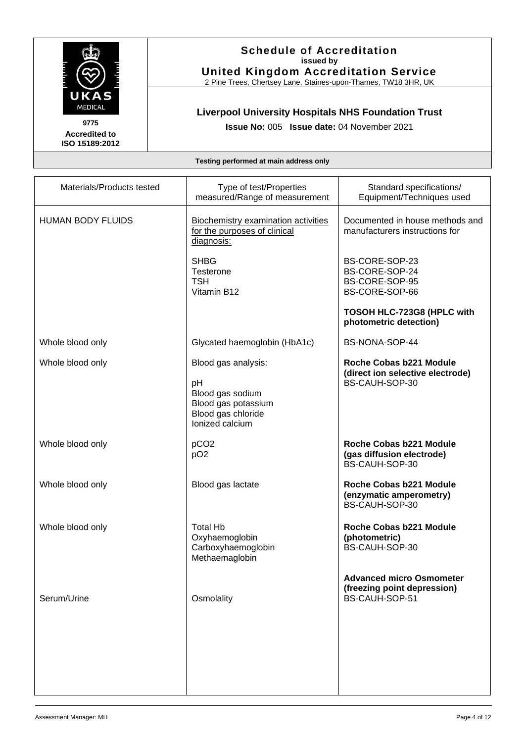

**Schedule of Accreditation issued by United Kingdom Accreditation Service**

2 Pine Trees, Chertsey Lane, Staines-upon-Thames, TW18 3HR, UK

## **Liverpool University Hospitals NHS Foundation Trust**

**Issue No:** 005 **Issue date:** 04 November 2021

| Materials/Products tested | Type of test/Properties<br>measured/Range of measurement                                                      | Standard specifications/<br>Equipment/Techniques used                            |
|---------------------------|---------------------------------------------------------------------------------------------------------------|----------------------------------------------------------------------------------|
| <b>HUMAN BODY FLUIDS</b>  | <b>Biochemistry examination activities</b><br>for the purposes of clinical<br>diagnosis:                      | Documented in house methods and<br>manufacturers instructions for                |
|                           | <b>SHBG</b><br>Testerone<br><b>TSH</b><br>Vitamin B <sub>12</sub>                                             | BS-CORE-SOP-23<br>BS-CORE-SOP-24<br>BS-CORE-SOP-95<br>BS-CORE-SOP-66             |
|                           |                                                                                                               | TOSOH HLC-723G8 (HPLC with<br>photometric detection)                             |
| Whole blood only          | Glycated haemoglobin (HbA1c)                                                                                  | BS-NONA-SOP-44                                                                   |
| Whole blood only          | Blood gas analysis:<br>рH<br>Blood gas sodium<br>Blood gas potassium<br>Blood gas chloride<br>Ionized calcium | Roche Cobas b221 Module<br>(direct ion selective electrode)<br>BS-CAUH-SOP-30    |
| Whole blood only          | pCO <sub>2</sub><br>pO <sub>2</sub>                                                                           | Roche Cobas b221 Module<br>(gas diffusion electrode)<br>BS-CAUH-SOP-30           |
| Whole blood only          | Blood gas lactate                                                                                             | Roche Cobas b221 Module<br>(enzymatic amperometry)<br>BS-CAUH-SOP-30             |
| Whole blood only          | <b>Total Hb</b><br>Oxyhaemoglobin<br>Carboxyhaemoglobin<br>Methaemaglobin                                     | Roche Cobas b221 Module<br>(photometric)<br>BS-CAUH-SOP-30                       |
| Serum/Urine               | Osmolality                                                                                                    | <b>Advanced micro Osmometer</b><br>(freezing point depression)<br>BS-CAUH-SOP-51 |
|                           |                                                                                                               |                                                                                  |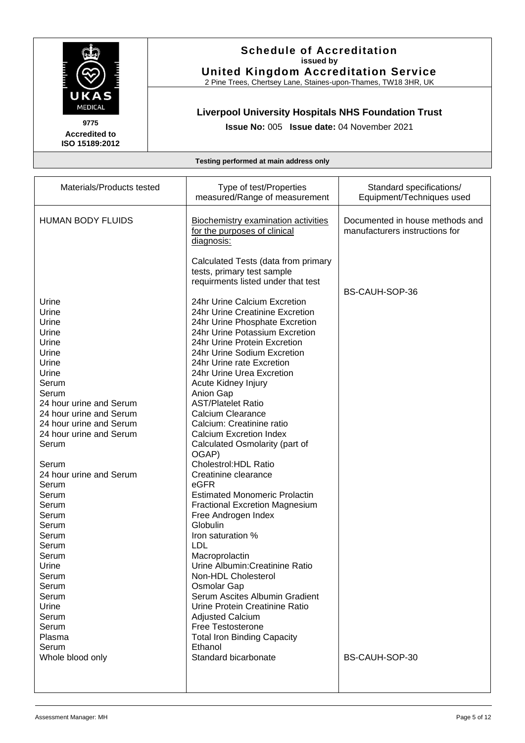

#### **Schedule of Accreditation issued by United Kingdom Accreditation Service**

2 Pine Trees, Chertsey Lane, Staines-upon-Thames, TW18 3HR, UK

## **Liverpool University Hospitals NHS Foundation Trust**

**Issue No:** 005 **Issue date:** 04 November 2021

| Materials/Products tested                                                                                                                                                                                                                                                                                                                                            | Type of test/Properties                                                                                                                                                                                                                                                                                                                                                                                                                                                                                                                                                                                                                                                                                                                                                                                                                                                                                                                                | Standard specifications/                                          |
|----------------------------------------------------------------------------------------------------------------------------------------------------------------------------------------------------------------------------------------------------------------------------------------------------------------------------------------------------------------------|--------------------------------------------------------------------------------------------------------------------------------------------------------------------------------------------------------------------------------------------------------------------------------------------------------------------------------------------------------------------------------------------------------------------------------------------------------------------------------------------------------------------------------------------------------------------------------------------------------------------------------------------------------------------------------------------------------------------------------------------------------------------------------------------------------------------------------------------------------------------------------------------------------------------------------------------------------|-------------------------------------------------------------------|
|                                                                                                                                                                                                                                                                                                                                                                      | measured/Range of measurement                                                                                                                                                                                                                                                                                                                                                                                                                                                                                                                                                                                                                                                                                                                                                                                                                                                                                                                          | Equipment/Techniques used                                         |
| <b>HUMAN BODY FLUIDS</b>                                                                                                                                                                                                                                                                                                                                             | <b>Biochemistry examination activities</b><br>for the purposes of clinical<br>diagnosis:                                                                                                                                                                                                                                                                                                                                                                                                                                                                                                                                                                                                                                                                                                                                                                                                                                                               | Documented in house methods and<br>manufacturers instructions for |
| Urine<br>Urine<br>Urine<br>Urine<br>Urine<br>Urine<br>Urine<br>Urine<br>Serum<br>Serum<br>24 hour urine and Serum<br>24 hour urine and Serum<br>24 hour urine and Serum<br>24 hour urine and Serum<br>Serum<br>Serum<br>24 hour urine and Serum<br>Serum<br>Serum<br>Serum<br>Serum<br>Serum<br>Serum<br>Serum<br>Serum<br>Urine<br>Serum<br>Serum<br>Serum<br>Urine | Calculated Tests (data from primary<br>tests, primary test sample<br>requirments listed under that test<br>24hr Urine Calcium Excretion<br>24hr Urine Creatinine Excretion<br>24hr Urine Phosphate Excretion<br>24hr Urine Potassium Excretion<br>24hr Urine Protein Excretion<br>24hr Urine Sodium Excretion<br>24hr Urine rate Excretion<br>24hr Urine Urea Excretion<br>Acute Kidney Injury<br>Anion Gap<br><b>AST/Platelet Ratio</b><br>Calcium Clearance<br>Calcium: Creatinine ratio<br><b>Calcium Excretion Index</b><br>Calculated Osmolarity (part of<br>OGAP)<br>Cholestrol: HDL Ratio<br>Creatinine clearance<br>eGFR<br><b>Estimated Monomeric Prolactin</b><br><b>Fractional Excretion Magnesium</b><br>Free Androgen Index<br>Globulin<br>Iron saturation %<br>LDL<br>Macroprolactin<br>Urine Albumin: Creatinine Ratio<br>Non-HDL Cholesterol<br><b>Osmolar Gap</b><br>Serum Ascites Albumin Gradient<br>Urine Protein Creatinine Ratio | BS-CAUH-SOP-36                                                    |
| Serum                                                                                                                                                                                                                                                                                                                                                                | <b>Adjusted Calcium</b>                                                                                                                                                                                                                                                                                                                                                                                                                                                                                                                                                                                                                                                                                                                                                                                                                                                                                                                                |                                                                   |
| Serum                                                                                                                                                                                                                                                                                                                                                                | Free Testosterone                                                                                                                                                                                                                                                                                                                                                                                                                                                                                                                                                                                                                                                                                                                                                                                                                                                                                                                                      |                                                                   |
| Plasma                                                                                                                                                                                                                                                                                                                                                               | <b>Total Iron Binding Capacity</b>                                                                                                                                                                                                                                                                                                                                                                                                                                                                                                                                                                                                                                                                                                                                                                                                                                                                                                                     |                                                                   |
| Serum                                                                                                                                                                                                                                                                                                                                                                | Ethanol                                                                                                                                                                                                                                                                                                                                                                                                                                                                                                                                                                                                                                                                                                                                                                                                                                                                                                                                                |                                                                   |
| Whole blood only                                                                                                                                                                                                                                                                                                                                                     | Standard bicarbonate                                                                                                                                                                                                                                                                                                                                                                                                                                                                                                                                                                                                                                                                                                                                                                                                                                                                                                                                   | BS-CAUH-SOP-30                                                    |
|                                                                                                                                                                                                                                                                                                                                                                      |                                                                                                                                                                                                                                                                                                                                                                                                                                                                                                                                                                                                                                                                                                                                                                                                                                                                                                                                                        |                                                                   |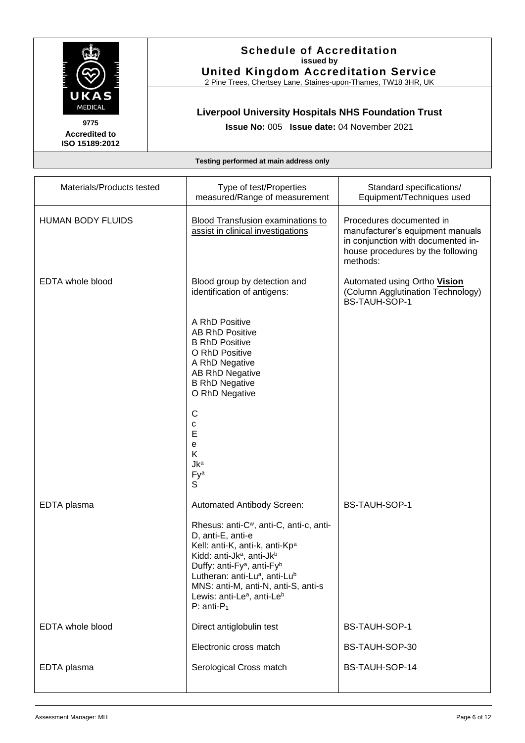

#### **Schedule of Accreditation issued by United Kingdom Accreditation Service**

2 Pine Trees, Chertsey Lane, Staines-upon-Thames, TW18 3HR, UK

## **Liverpool University Hospitals NHS Foundation Trust**

**Issue No:** 005 **Issue date:** 04 November 2021

| Materials/Products tested | Type of test/Properties<br>measured/Range of measurement                                                                                                                                                                                                                                                                                                                            | Standard specifications/<br>Equipment/Techniques used                                                                                               |
|---------------------------|-------------------------------------------------------------------------------------------------------------------------------------------------------------------------------------------------------------------------------------------------------------------------------------------------------------------------------------------------------------------------------------|-----------------------------------------------------------------------------------------------------------------------------------------------------|
| <b>HUMAN BODY FLUIDS</b>  | <b>Blood Transfusion examinations to</b><br>assist in clinical investigations                                                                                                                                                                                                                                                                                                       | Procedures documented in<br>manufacturer's equipment manuals<br>in conjunction with documented in-<br>house procedures by the following<br>methods: |
| <b>EDTA</b> whole blood   | Blood group by detection and<br>identification of antigens:                                                                                                                                                                                                                                                                                                                         | Automated using Ortho Vision<br>(Column Agglutination Technology)<br><b>BS-TAUH-SOP-1</b>                                                           |
|                           | A RhD Positive<br><b>AB RhD Positive</b><br><b>B RhD Positive</b><br>O RhD Positive<br>A RhD Negative<br>AB RhD Negative<br><b>B RhD Negative</b><br>O RhD Negative                                                                                                                                                                                                                 |                                                                                                                                                     |
|                           | C<br>с<br>E<br>e<br>K<br><b>Jka</b><br>Fya<br>S                                                                                                                                                                                                                                                                                                                                     |                                                                                                                                                     |
| EDTA plasma               | Automated Antibody Screen:<br>Rhesus: anti-C <sup>w</sup> , anti-C, anti-c, anti-<br>D, anti-E, anti-e<br>Kell: anti-K, anti-k, anti-Kp <sup>a</sup><br>Kidd: anti-Jkª, anti-Jkb<br>Duffy: anti-Fy <sup>a</sup> , anti-Fy <sup>b</sup><br>Lutheran: anti-Lua, anti-Lub<br>MNS: anti-M, anti-N, anti-S, anti-s<br>Lewis: anti-Le <sup>a</sup> , anti-Le <sup>b</sup><br>$P: anti-P1$ | BS-TAUH-SOP-1                                                                                                                                       |
| EDTA whole blood          | Direct antiglobulin test                                                                                                                                                                                                                                                                                                                                                            | BS-TAUH-SOP-1                                                                                                                                       |
|                           | Electronic cross match                                                                                                                                                                                                                                                                                                                                                              | BS-TAUH-SOP-30                                                                                                                                      |
| EDTA plasma               | Serological Cross match                                                                                                                                                                                                                                                                                                                                                             | BS-TAUH-SOP-14                                                                                                                                      |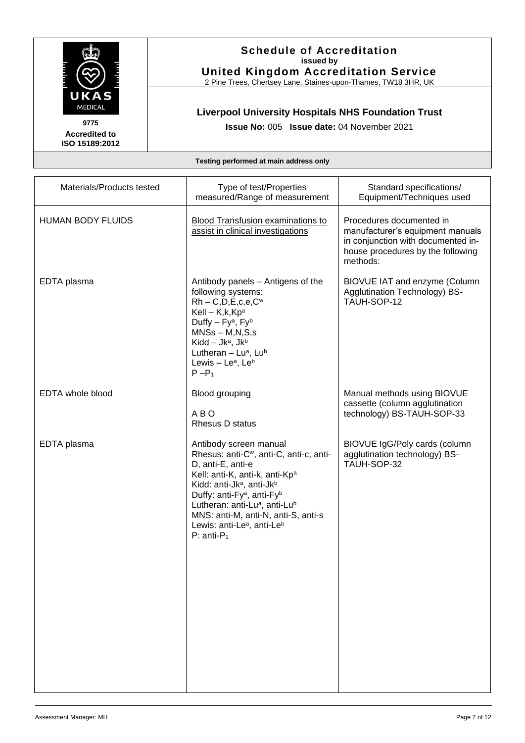

#### **Schedule of Accreditation issued by United Kingdom Accreditation Service**

2 Pine Trees, Chertsey Lane, Staines-upon-Thames, TW18 3HR, UK

## **Liverpool University Hospitals NHS Foundation Trust**

**Issue No:** 005 **Issue date:** 04 November 2021

| Type of test/Properties<br>measured/Range of measurement                                                                                                                                                                                                                                                                                                                        | Standard specifications/<br>Equipment/Techniques used                                                                                               |
|---------------------------------------------------------------------------------------------------------------------------------------------------------------------------------------------------------------------------------------------------------------------------------------------------------------------------------------------------------------------------------|-----------------------------------------------------------------------------------------------------------------------------------------------------|
| <b>Blood Transfusion examinations to</b><br>assist in clinical investigations                                                                                                                                                                                                                                                                                                   | Procedures documented in<br>manufacturer's equipment manuals<br>in conjunction with documented in-<br>house procedures by the following<br>methods: |
| Antibody panels - Antigens of the<br>following systems:<br>$Rh - C, D, E, c, e, Cw$<br>Kell - $K, K$ <sub>pa</sub><br>Duffy - Fy <sup>a</sup> , Fy <sup>b</sup><br>$MNSs - M,N,S,s$<br>Kidd - Jka, Jkb<br>Lutheran $-$ Lua, Lub<br>Lewis $-$ Le <sup>a</sup> , Le <sup>b</sup><br>$P - P_1$                                                                                     | BIOVUE IAT and enzyme (Column<br>Agglutination Technology) BS-<br>TAUH-SOP-12                                                                       |
| Blood grouping<br>A B O<br>Rhesus D status                                                                                                                                                                                                                                                                                                                                      | Manual methods using BIOVUE<br>cassette (column agglutination<br>technology) BS-TAUH-SOP-33                                                         |
| Antibody screen manual<br>Rhesus: anti-C <sup>w</sup> , anti-C, anti-c, anti-<br>D, anti-E, anti-e<br>Kell: anti-K, anti-k, anti-Kp <sup>a</sup><br>Kidd: anti-Jkª, anti-Jkb<br>Duffy: anti-Fy <sup>a</sup> , anti-Fy <sup>b</sup><br>Lutheran: anti-Lua, anti-Lub<br>MNS: anti-M, anti-N, anti-S, anti-s<br>Lewis: anti-Le <sup>a</sup> , anti-Le <sup>b</sup><br>$P: anti-P1$ | BIOVUE IgG/Poly cards (column<br>agglutination technology) BS-<br>TAUH-SOP-32                                                                       |
|                                                                                                                                                                                                                                                                                                                                                                                 |                                                                                                                                                     |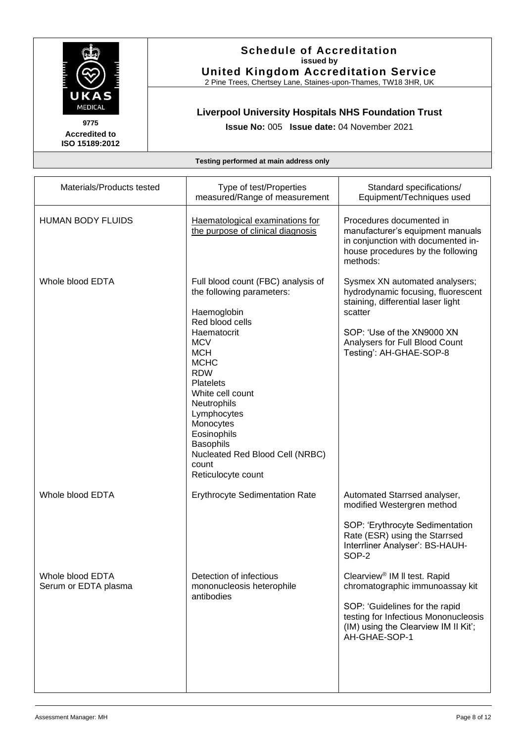

**Schedule of Accreditation issued by United Kingdom Accreditation Service**

2 Pine Trees, Chertsey Lane, Staines-upon-Thames, TW18 3HR, UK

## **Liverpool University Hospitals NHS Foundation Trust**

**Issue No:** 005 **Issue date:** 04 November 2021

| Materials/Products tested                | Type of test/Properties<br>measured/Range of measurement                                                                                                                                                                                                                                                                                                          | Standard specifications/<br>Equipment/Techniques used                                                                                                                                                            |
|------------------------------------------|-------------------------------------------------------------------------------------------------------------------------------------------------------------------------------------------------------------------------------------------------------------------------------------------------------------------------------------------------------------------|------------------------------------------------------------------------------------------------------------------------------------------------------------------------------------------------------------------|
| <b>HUMAN BODY FLUIDS</b>                 | Haematological examinations for<br>the purpose of clinical diagnosis                                                                                                                                                                                                                                                                                              | Procedures documented in<br>manufacturer's equipment manuals<br>in conjunction with documented in-<br>house procedures by the following<br>methods:                                                              |
| Whole blood EDTA                         | Full blood count (FBC) analysis of<br>the following parameters:<br>Haemoglobin<br>Red blood cells<br>Haematocrit<br><b>MCV</b><br><b>MCH</b><br><b>MCHC</b><br><b>RDW</b><br><b>Platelets</b><br>White cell count<br>Neutrophils<br>Lymphocytes<br>Monocytes<br>Eosinophils<br><b>Basophils</b><br>Nucleated Red Blood Cell (NRBC)<br>count<br>Reticulocyte count | Sysmex XN automated analysers;<br>hydrodynamic focusing, fluorescent<br>staining, differential laser light<br>scatter<br>SOP: 'Use of the XN9000 XN<br>Analysers for Full Blood Count<br>Testing': AH-GHAE-SOP-8 |
| Whole blood EDTA                         | <b>Erythrocyte Sedimentation Rate</b>                                                                                                                                                                                                                                                                                                                             | Automated Starrsed analyser,<br>modified Westergren method<br>SOP: 'Erythrocyte Sedimentation<br>Rate (ESR) using the Starrsed<br>Interrliner Analyser': BS-HAUH-<br>SOP-2                                       |
| Whole blood EDTA<br>Serum or EDTA plasma | Detection of infectious<br>mononucleosis heterophile<br>antibodies                                                                                                                                                                                                                                                                                                | Clearview <sup>®</sup> IM II test. Rapid<br>chromatographic immunoassay kit<br>SOP: 'Guidelines for the rapid<br>testing for Infectious Mononucleosis<br>(IM) using the Clearview IM II Kit';<br>AH-GHAE-SOP-1   |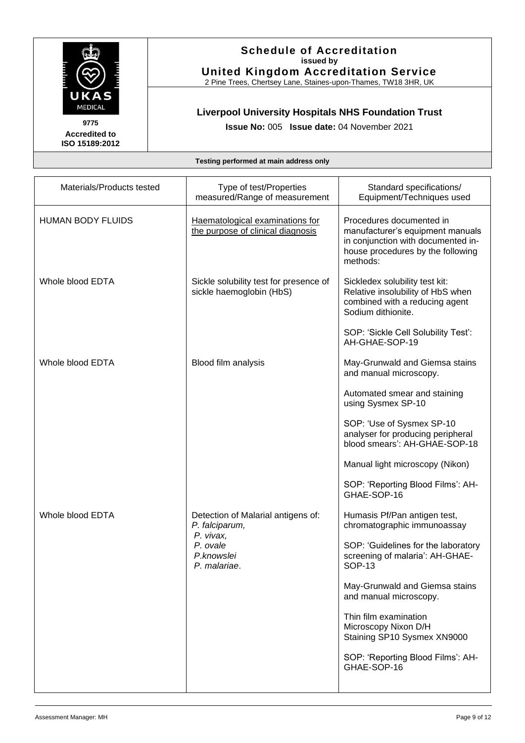

**Schedule of Accreditation issued by United Kingdom Accreditation Service**

2 Pine Trees, Chertsey Lane, Staines-upon-Thames, TW18 3HR, UK

## **Liverpool University Hospitals NHS Foundation Trust**

**Issue No:** 005 **Issue date:** 04 November 2021

| Materials/Products tested | Type of test/Properties<br>measured/Range of measurement             | Standard specifications/<br>Equipment/Techniques used                                                                                               |
|---------------------------|----------------------------------------------------------------------|-----------------------------------------------------------------------------------------------------------------------------------------------------|
| <b>HUMAN BODY FLUIDS</b>  | Haematological examinations for<br>the purpose of clinical diagnosis | Procedures documented in<br>manufacturer's equipment manuals<br>in conjunction with documented in-<br>house procedures by the following<br>methods: |
| Whole blood EDTA          | Sickle solubility test for presence of<br>sickle haemoglobin (HbS)   | Sickledex solubility test kit:<br>Relative insolubility of HbS when<br>combined with a reducing agent<br>Sodium dithionite.                         |
|                           |                                                                      | SOP: 'Sickle Cell Solubility Test':<br>AH-GHAE-SOP-19                                                                                               |
| Whole blood EDTA          | Blood film analysis                                                  | May-Grunwald and Giemsa stains<br>and manual microscopy.                                                                                            |
|                           |                                                                      | Automated smear and staining<br>using Sysmex SP-10                                                                                                  |
|                           |                                                                      | SOP: 'Use of Sysmex SP-10<br>analyser for producing peripheral<br>blood smears': AH-GHAE-SOP-18                                                     |
|                           |                                                                      | Manual light microscopy (Nikon)                                                                                                                     |
|                           |                                                                      | SOP: 'Reporting Blood Films': AH-<br>GHAE-SOP-16                                                                                                    |
| Whole blood EDTA          | Detection of Malarial antigens of:<br>P. falciparum,                 | Humasis Pf/Pan antigen test,<br>chromatographic immunoassay                                                                                         |
|                           | P. vivax,<br>P. ovale<br>P.knowslei<br>P. malariae.                  | SOP: 'Guidelines for the laboratory<br>screening of malaria': AH-GHAE-<br>SOP-13                                                                    |
|                           |                                                                      | May-Grunwald and Giemsa stains<br>and manual microscopy.                                                                                            |
|                           |                                                                      | Thin film examination<br>Microscopy Nixon D/H<br>Staining SP10 Sysmex XN9000                                                                        |
|                           |                                                                      | SOP: 'Reporting Blood Films': AH-<br>GHAE-SOP-16                                                                                                    |
|                           |                                                                      |                                                                                                                                                     |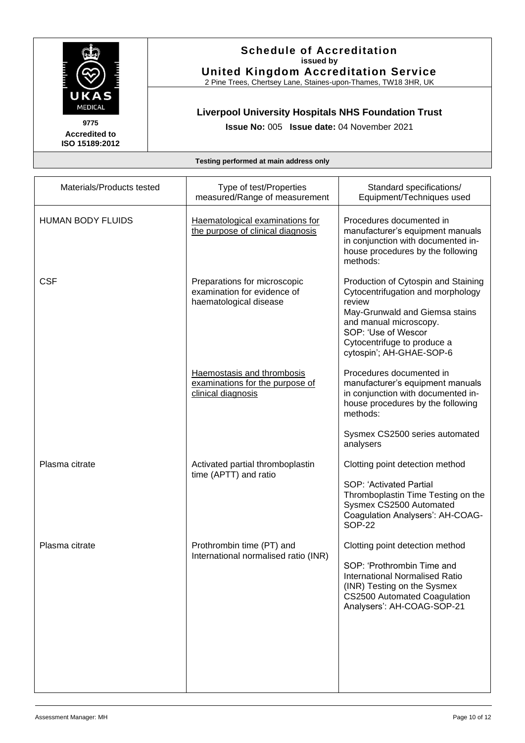

#### **Schedule of Accreditation issued by United Kingdom Accreditation Service**

2 Pine Trees, Chertsey Lane, Staines-upon-Thames, TW18 3HR, UK

## **Liverpool University Hospitals NHS Foundation Trust**

**Issue No:** 005 **Issue date:** 04 November 2021

| Materials/Products tested | Type of test/Properties<br>measured/Range of measurement                              | Standard specifications/<br>Equipment/Techniques used                                                                                                                                                                            |
|---------------------------|---------------------------------------------------------------------------------------|----------------------------------------------------------------------------------------------------------------------------------------------------------------------------------------------------------------------------------|
| <b>HUMAN BODY FLUIDS</b>  | Haematological examinations for<br>the purpose of clinical diagnosis                  | Procedures documented in<br>manufacturer's equipment manuals<br>in conjunction with documented in-<br>house procedures by the following<br>methods:                                                                              |
| <b>CSF</b>                | Preparations for microscopic<br>examination for evidence of<br>haematological disease | Production of Cytospin and Staining<br>Cytocentrifugation and morphology<br>review<br>May-Grunwald and Giemsa stains<br>and manual microscopy.<br>SOP: 'Use of Wescor<br>Cytocentrifuge to produce a<br>cytospin'; AH-GHAE-SOP-6 |
|                           | Haemostasis and thrombosis<br>examinations for the purpose of<br>clinical diagnosis   | Procedures documented in<br>manufacturer's equipment manuals<br>in conjunction with documented in-<br>house procedures by the following<br>methods:                                                                              |
|                           |                                                                                       | Sysmex CS2500 series automated<br>analysers                                                                                                                                                                                      |
| Plasma citrate            | Activated partial thromboplastin<br>time (APTT) and ratio                             | Clotting point detection method<br>SOP: 'Activated Partial<br>Thromboplastin Time Testing on the<br>Sysmex CS2500 Automated<br>Coagulation Analysers': AH-COAG-<br><b>SOP-22</b>                                                 |
| Plasma citrate            | Prothrombin time (PT) and<br>International normalised ratio (INR)                     | Clotting point detection method<br>SOP: 'Prothrombin Time and<br><b>International Normalised Ratio</b><br>(INR) Testing on the Sysmex<br>CS2500 Automated Coagulation<br>Analysers': AH-COAG-SOP-21                              |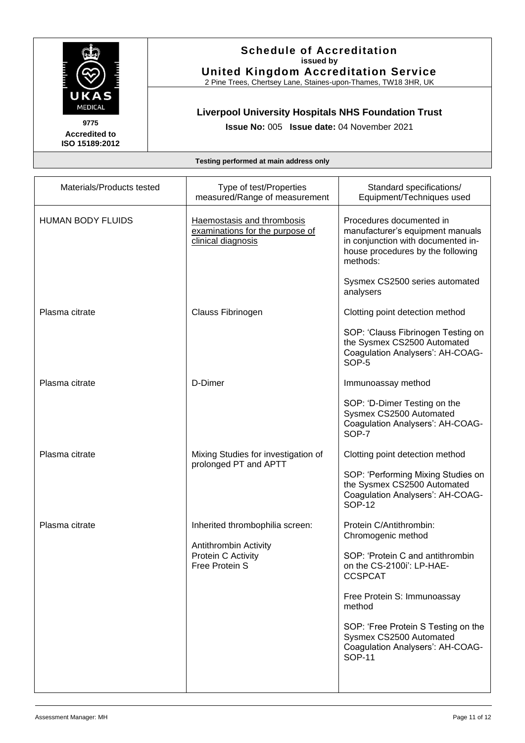

**Schedule of Accreditation issued by United Kingdom Accreditation Service**

2 Pine Trees, Chertsey Lane, Staines-upon-Thames, TW18 3HR, UK

## **Liverpool University Hospitals NHS Foundation Trust**

**Issue No:** 005 **Issue date:** 04 November 2021

| Materials/Products tested                                     | Type of test/Properties<br>measured/Range of measurement                            | Standard specifications/<br>Equipment/Techniques used                                                                                               |
|---------------------------------------------------------------|-------------------------------------------------------------------------------------|-----------------------------------------------------------------------------------------------------------------------------------------------------|
| <b>HUMAN BODY FLUIDS</b>                                      | Haemostasis and thrombosis<br>examinations for the purpose of<br>clinical diagnosis | Procedures documented in<br>manufacturer's equipment manuals<br>in conjunction with documented in-<br>house procedures by the following<br>methods: |
|                                                               |                                                                                     | Sysmex CS2500 series automated<br>analysers                                                                                                         |
| Plasma citrate                                                | Clauss Fibrinogen                                                                   | Clotting point detection method                                                                                                                     |
|                                                               |                                                                                     | SOP: 'Clauss Fibrinogen Testing on<br>the Sysmex CS2500 Automated<br>Coagulation Analysers': AH-COAG-<br>SOP-5                                      |
| Plasma citrate                                                | D-Dimer                                                                             | Immunoassay method                                                                                                                                  |
|                                                               |                                                                                     | SOP: 'D-Dimer Testing on the<br>Sysmex CS2500 Automated<br>Coagulation Analysers': AH-COAG-<br>SOP-7                                                |
| Plasma citrate                                                | Mixing Studies for investigation of                                                 | Clotting point detection method                                                                                                                     |
|                                                               | prolonged PT and APTT                                                               | SOP: 'Performing Mixing Studies on<br>the Sysmex CS2500 Automated<br>Coagulation Analysers': AH-COAG-<br><b>SOP-12</b>                              |
| Plasma citrate                                                | Inherited thrombophilia screen:                                                     | Protein C/Antithrombin:<br>Chromogenic method                                                                                                       |
| Antithrombin Activity<br>Protein C Activity<br>Free Protein S | SOP: 'Protein C and antithrombin<br>on the CS-2100i': LP-HAE-<br><b>CCSPCAT</b>     |                                                                                                                                                     |
|                                                               |                                                                                     | Free Protein S: Immunoassay<br>method                                                                                                               |
|                                                               |                                                                                     | SOP: 'Free Protein S Testing on the<br>Sysmex CS2500 Automated<br>Coagulation Analysers': AH-COAG-<br><b>SOP-11</b>                                 |
|                                                               |                                                                                     |                                                                                                                                                     |